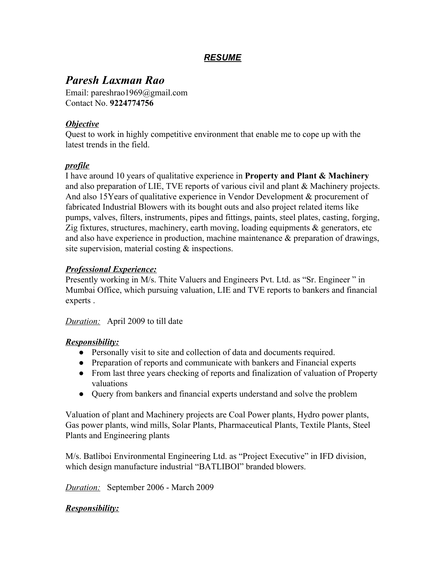# *RESUME*

# *Paresh Laxman Rao*

Email: pareshrao1969@gmail.com Contact No. **9224774756**

### *Objective*

Quest to work in highly competitive environment that enable me to cope up with the latest trends in the field.

## *profile*

I have around 10 years of qualitative experience in **Property and Plant & Machinery** and also preparation of LIE, TVE reports of various civil and plant & Machinery projects. And also 15Years of qualitative experience in Vendor Development & procurement of fabricated Industrial Blowers with its bought outs and also project related items like pumps, valves, filters, instruments, pipes and fittings, paints, steel plates, casting, forging, Zig fixtures, structures, machinery, earth moving, loading equipments  $\&$  generators, etc and also have experience in production, machine maintenance & preparation of drawings, site supervision, material costing & inspections.

### *Professional Experience:*

Presently working in M/s. Thite Valuers and Engineers Pvt. Ltd. as "Sr. Engineer " in Mumbai Office, which pursuing valuation, LIE and TVE reports to bankers and financial experts .

*Duration:* April 2009 to till date

#### *Responsibility:*

- Personally visit to site and collection of data and documents required.
- Preparation of reports and communicate with bankers and Financial experts
- From last three years checking of reports and finalization of valuation of Property valuations
- Query from bankers and financial experts understand and solve the problem

Valuation of plant and Machinery projects are Coal Power plants, Hydro power plants, Gas power plants, wind mills, Solar Plants, Pharmaceutical Plants, Textile Plants, Steel Plants and Engineering plants

M/s. Batliboi Environmental Engineering Ltd. as "Project Executive" in IFD division, which design manufacture industrial "BATLIBOI" branded blowers.

*Duration:* September 2006 - March 2009

## *Responsibility:*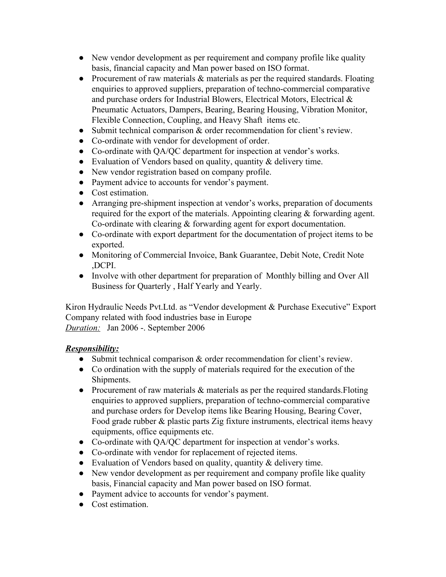- New vendor development as per requirement and company profile like quality basis, financial capacity and Man power based on ISO format.
- Procurement of raw materials & materials as per the required standards. Floating enquiries to approved suppliers, preparation of techno-commercial comparative and purchase orders for Industrial Blowers, Electrical Motors, Electrical & Pneumatic Actuators, Dampers, Bearing, Bearing Housing, Vibration Monitor, Flexible Connection, Coupling, and Heavy Shaft items etc.
- Submit technical comparison  $\&$  order recommendation for client's review.
- Co-ordinate with vendor for development of order.
- Co-ordinate with QA/QC department for inspection at vendor's works.
- Evaluation of Vendors based on quality, quantity  $\&$  delivery time.
- New vendor registration based on company profile.
- Payment advice to accounts for vendor's payment.
- Cost estimation.
- Arranging pre-shipment inspection at vendor's works, preparation of documents required for the export of the materials. Appointing clearing  $\&$  forwarding agent. Co-ordinate with clearing & forwarding agent for export documentation.
- Co-ordinate with export department for the documentation of project items to be exported.
- Monitoring of Commercial Invoice, Bank Guarantee, Debit Note, Credit Note ,DCPI.
- Involve with other department for preparation of Monthly billing and Over All Business for Quarterly , Half Yearly and Yearly.

Kiron Hydraulic Needs Pvt.Ltd. as "Vendor development & Purchase Executive" Export Company related with food industries base in Europe *Duration:* Jan 2006 -. September 2006

## *Responsibility:*

- Submit technical comparison  $\&$  order recommendation for client's review.
- Co ordination with the supply of materials required for the execution of the Shipments.
- Procurement of raw materials & materials as per the required standards. Floting enquiries to approved suppliers, preparation of techno-commercial comparative and purchase orders for Develop items like Bearing Housing, Bearing Cover, Food grade rubber & plastic parts Zig fixture instruments, electrical items heavy equipments, office equipments etc.
- Co-ordinate with QA/QC department for inspection at vendor's works.
- Co-ordinate with vendor for replacement of rejected items.
- Evaluation of Vendors based on quality, quantity  $\&$  delivery time.
- New vendor development as per requirement and company profile like quality basis, Financial capacity and Man power based on ISO format.
- Payment advice to accounts for vendor's payment.
- Cost estimation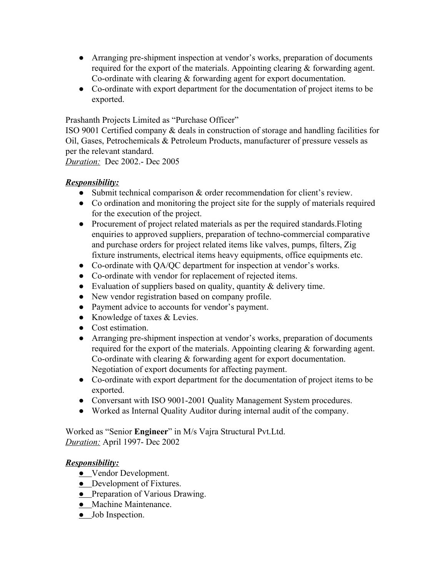- Arranging pre-shipment inspection at vendor's works, preparation of documents required for the export of the materials. Appointing clearing & forwarding agent. Co-ordinate with clearing & forwarding agent for export documentation.
- Co-ordinate with export department for the documentation of project items to be exported.

Prashanth Projects Limited as "Purchase Officer"

ISO 9001 Certified company & deals in construction of storage and handling facilities for Oil, Gases, Petrochemicals & Petroleum Products, manufacturer of pressure vessels as per the relevant standard.

*Duration:* Dec 2002.- Dec 2005

## *Responsibility:*

- Submit technical comparison  $\&$  order recommendation for client's review.
- Co ordination and monitoring the project site for the supply of materials required for the execution of the project.
- Procurement of project related materials as per the required standards.Floting enquiries to approved suppliers, preparation of techno-commercial comparative and purchase orders for project related items like valves, pumps, filters, Zig fixture instruments, electrical items heavy equipments, office equipments etc.
- Co-ordinate with QA/QC department for inspection at vendor's works.
- Co-ordinate with vendor for replacement of rejected items.
- Evaluation of suppliers based on quality, quantity  $\&$  delivery time.
- New vendor registration based on company profile.
- Payment advice to accounts for vendor's payment.
- Knowledge of taxes & Levies.
- Cost estimation.
- Arranging pre-shipment inspection at vendor's works, preparation of documents required for the export of the materials. Appointing clearing & forwarding agent. Co-ordinate with clearing & forwarding agent for export documentation. Negotiation of export documents for affecting payment.
- Co-ordinate with export department for the documentation of project items to be exported.
- Conversant with ISO 9001-2001 Quality Management System procedures.
- Worked as Internal Quality Auditor during internal audit of the company.

Worked as "Senior **Engineer**" in M/s Vajra Structural Pvt.Ltd. *Duration:* April 1997- Dec 2002

## *Responsibility:*

- Vendor Development.
- **•** Development of Fixtures.
- Preparation of Various Drawing.
- Machine Maintenance.
- Job Inspection.